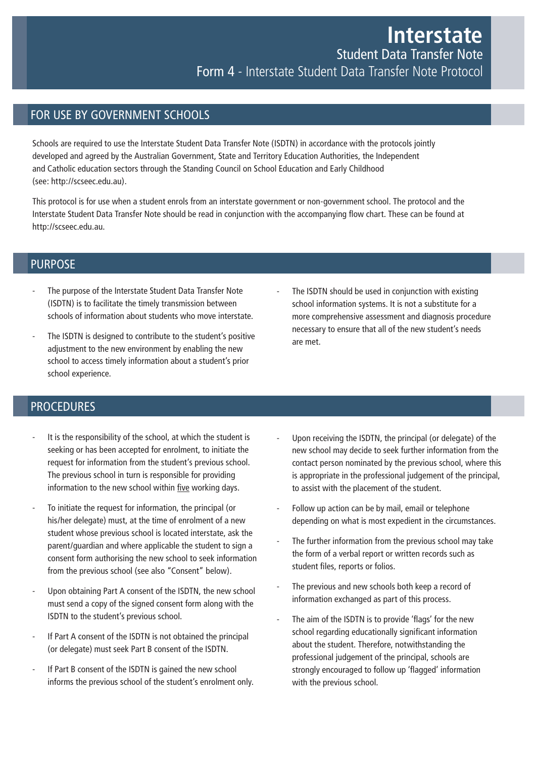### FOR USE BY GOVERNMENT SCHOOLS

Schools are required to use the Interstate Student Data Transfer Note (ISDTN) in accordance with the protocols jointly developed and agreed by the Australian Government, State and Territory Education Authorities, the Independent and Catholic education sectors through the Standing Council on School Education and Early Childhood (see: http://scseec.edu.au).

This protocol is for use when a student enrols from an interstate government or non-government school. The protocol and the Interstate Student Data Transfer Note should be read in conjunction with the accompanying flow chart. These can be found at http://scseec.edu.au.

#### PURPOSE

- The purpose of the Interstate Student Data Transfer Note (ISDTN) is to facilitate the timely transmission between schools of information about students who move interstate.
- The ISDTN is designed to contribute to the student's positive adjustment to the new environment by enabling the new school to access timely information about a student's prior school experience.
- The ISDTN should be used in conjunction with existing school information systems. It is not a substitute for a more comprehensive assessment and diagnosis procedure necessary to ensure that all of the new student's needs are met.

#### **PROCEDURES**

- It is the responsibility of the school, at which the student is seeking or has been accepted for enrolment, to initiate the request for information from the student's previous school. The previous school in turn is responsible for providing information to the new school within five working days.
- To initiate the request for information, the principal (or his/her delegate) must, at the time of enrolment of a new student whose previous school is located interstate, ask the parent/guardian and where applicable the student to sign a consent form authorising the new school to seek information from the previous school (see also "Consent" below).
- Upon obtaining Part A consent of the ISDTN, the new school must send a copy of the signed consent form along with the ISDTN to the student's previous school.
- If Part A consent of the ISDTN is not obtained the principal (or delegate) must seek Part B consent of the ISDTN.
- If Part B consent of the ISDTN is gained the new school informs the previous school of the student's enrolment only.
- Upon receiving the ISDTN, the principal (or delegate) of the new school may decide to seek further information from the contact person nominated by the previous school, where this is appropriate in the professional judgement of the principal, to assist with the placement of the student.
- Follow up action can be by mail, email or telephone depending on what is most expedient in the circumstances.
- The further information from the previous school may take the form of a verbal report or written records such as student files, reports or folios.
- The previous and new schools both keep a record of information exchanged as part of this process.
- The aim of the ISDTN is to provide 'flags' for the new school regarding educationally significant information about the student. Therefore, notwithstanding the professional judgement of the principal, schools are strongly encouraged to follow up 'flagged' information with the previous school.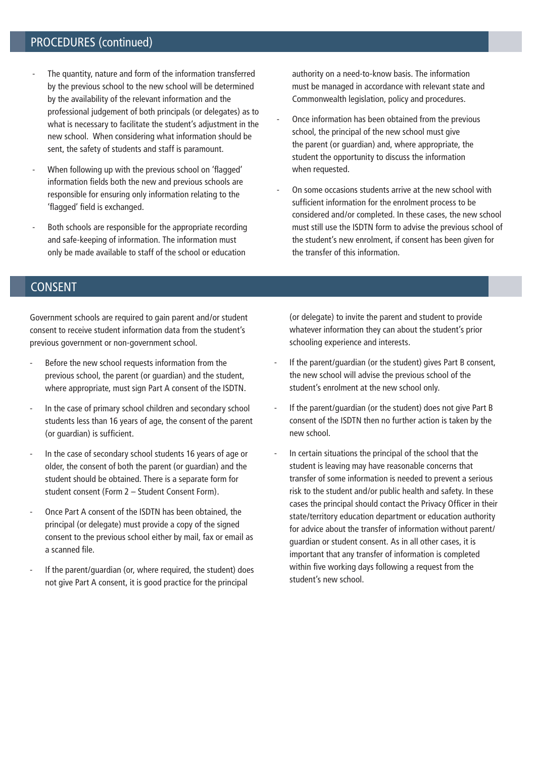### PROCEDURES (continued)

- The quantity, nature and form of the information transferred by the previous school to the new school will be determined by the availability of the relevant information and the professional judgement of both principals (or delegates) as to what is necessary to facilitate the student's adjustment in the new school. When considering what information should be sent, the safety of students and staff is paramount.
- When following up with the previous school on 'flagged' information fields both the new and previous schools are responsible for ensuring only information relating to the 'flagged' field is exchanged.
- Both schools are responsible for the appropriate recording and safe-keeping of information. The information must only be made available to staff of the school or education

authority on a need-to-know basis. The information must be managed in accordance with relevant state and Commonwealth legislation, policy and procedures.

- Once information has been obtained from the previous school, the principal of the new school must give the parent (or guardian) and, where appropriate, the student the opportunity to discuss the information when requested.
- On some occasions students arrive at the new school with sufficient information for the enrolment process to be considered and/or completed. In these cases, the new school must still use the ISDTN form to advise the previous school of the student's new enrolment, if consent has been given for the transfer of this information.

### CONSENT

Government schools are required to gain parent and/or student consent to receive student information data from the student's previous government or non-government school.

- Before the new school requests information from the previous school, the parent (or guardian) and the student, where appropriate, must sign Part A consent of the ISDTN.
- In the case of primary school children and secondary school students less than 16 years of age, the consent of the parent (or guardian) is sufficient.
- In the case of secondary school students 16 years of age or older, the consent of both the parent (or guardian) and the student should be obtained. There is a separate form for student consent (Form 2 – Student Consent Form).
- Once Part A consent of the ISDTN has been obtained, the principal (or delegate) must provide a copy of the signed consent to the previous school either by mail, fax or email as a scanned file.
- If the parent/quardian (or, where required, the student) does not give Part A consent, it is good practice for the principal

(or delegate) to invite the parent and student to provide whatever information they can about the student's prior schooling experience and interests.

- If the parent/quardian (or the student) gives Part B consent, the new school will advise the previous school of the student's enrolment at the new school only.
- If the parent/guardian (or the student) does not give Part B consent of the ISDTN then no further action is taken by the new school.
- In certain situations the principal of the school that the student is leaving may have reasonable concerns that transfer of some information is needed to prevent a serious risk to the student and/or public health and safety. In these cases the principal should contact the Privacy Officer in their state/territory education department or education authority for advice about the transfer of information without parent/ guardian or student consent. As in all other cases, it is important that any transfer of information is completed within five working days following a request from the student's new school.